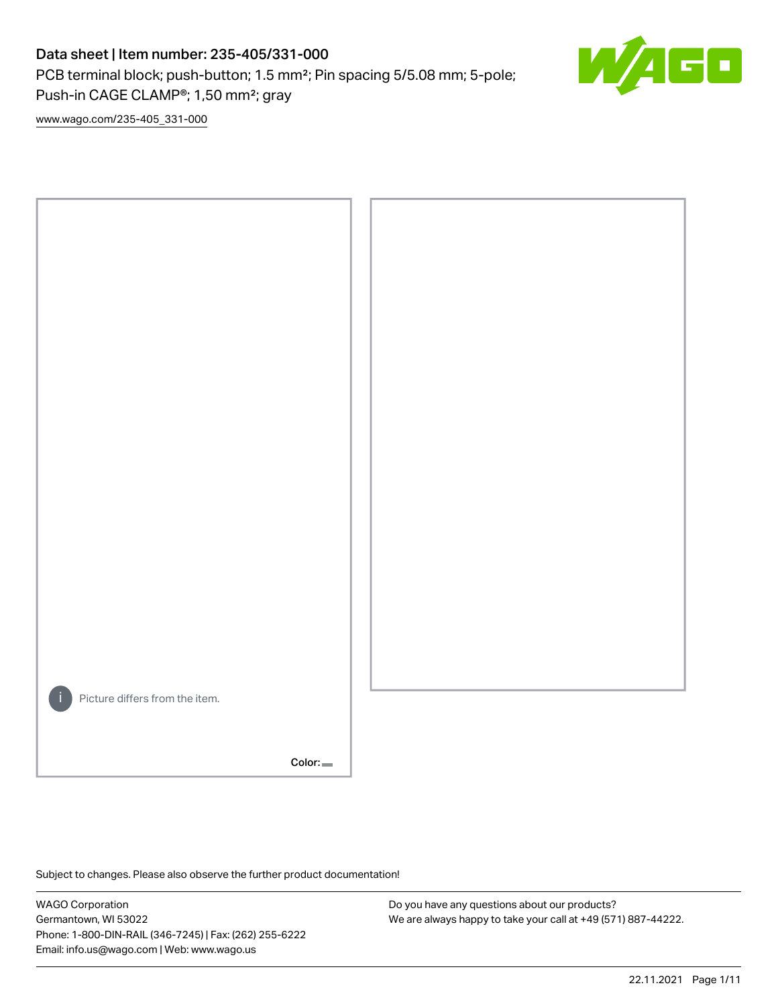# Data sheet | Item number: 235-405/331-000

PCB terminal block; push-button; 1.5 mm²; Pin spacing 5/5.08 mm; 5-pole; Push-in CAGE CLAMP®; 1,50 mm²; gray



[www.wago.com/235-405\\_331-000](http://www.wago.com/235-405_331-000)



Subject to changes. Please also observe the further product documentation!

WAGO Corporation Germantown, WI 53022 Phone: 1-800-DIN-RAIL (346-7245) | Fax: (262) 255-6222 Email: info.us@wago.com | Web: www.wago.us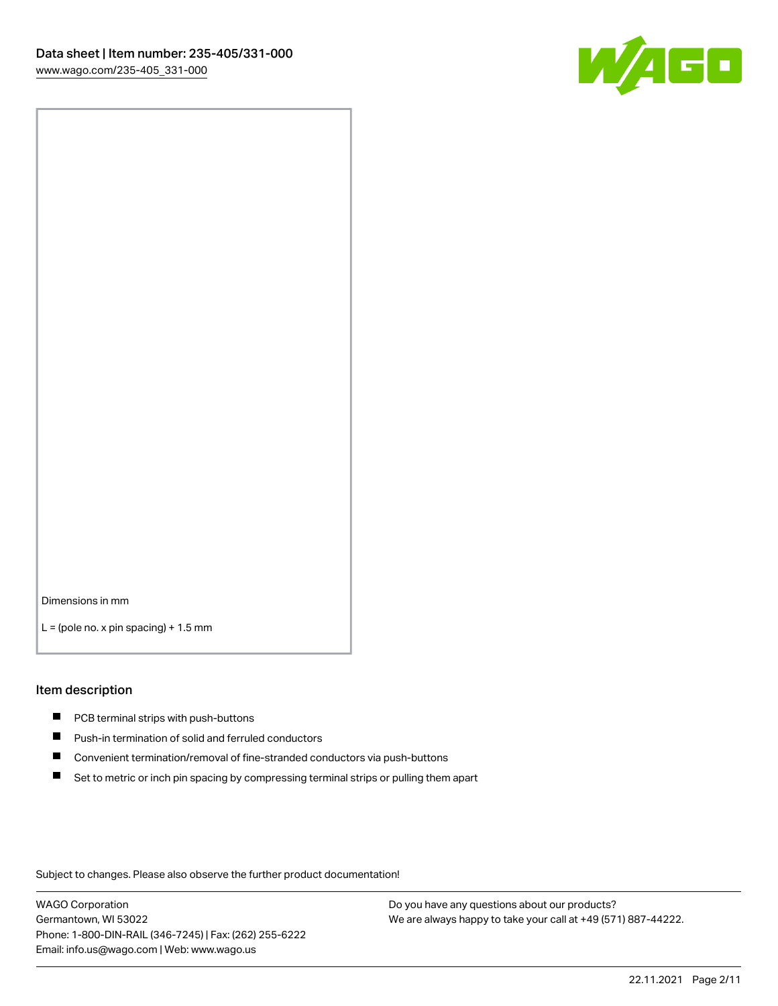

Dimensions in mm

 $L =$  (pole no. x pin spacing) + 1.5 mm

#### Item description

- **PCB terminal strips with push-buttons**
- **Push-in termination of solid and ferruled conductors**
- $\blacksquare$ Convenient termination/removal of fine-stranded conductors via push-buttons
- Set to metric or inch pin spacing by compressing terminal strips or pulling them apart

Subject to changes. Please also observe the further product documentation!

WAGO Corporation Germantown, WI 53022 Phone: 1-800-DIN-RAIL (346-7245) | Fax: (262) 255-6222 Email: info.us@wago.com | Web: www.wago.us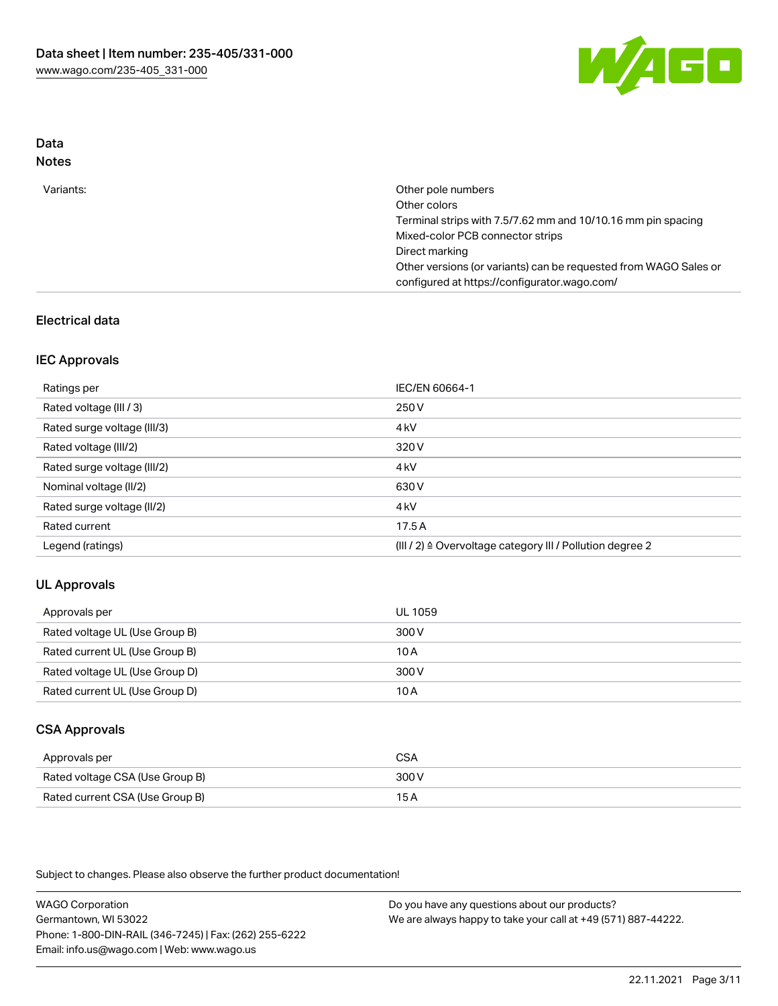

# Data

| w<br>۰,<br>۹<br>٠ |
|-------------------|
|-------------------|

| Variants: | Other pole numbers<br>Other colors<br>Terminal strips with 7.5/7.62 mm and 10/10.16 mm pin spacing<br>Mixed-color PCB connector strips<br>Direct marking<br>Other versions (or variants) can be requested from WAGO Sales or<br>configured at https://configurator.wago.com/ |
|-----------|------------------------------------------------------------------------------------------------------------------------------------------------------------------------------------------------------------------------------------------------------------------------------|
|-----------|------------------------------------------------------------------------------------------------------------------------------------------------------------------------------------------------------------------------------------------------------------------------------|

# Electrical data

### IEC Approvals

| Ratings per                 | IEC/EN 60664-1                                                        |
|-----------------------------|-----------------------------------------------------------------------|
| Rated voltage (III / 3)     | 250 V                                                                 |
| Rated surge voltage (III/3) | 4 <sub>k</sub> V                                                      |
| Rated voltage (III/2)       | 320 V                                                                 |
| Rated surge voltage (III/2) | 4 <sub>k</sub> V                                                      |
| Nominal voltage (II/2)      | 630 V                                                                 |
| Rated surge voltage (II/2)  | 4 <sub>k</sub> V                                                      |
| Rated current               | 17.5A                                                                 |
| Legend (ratings)            | $(III / 2)$ $\triangle$ Overvoltage category III / Pollution degree 2 |

### UL Approvals

| Approvals per                  | UL 1059 |
|--------------------------------|---------|
| Rated voltage UL (Use Group B) | 300 V   |
| Rated current UL (Use Group B) | 10 A    |
| Rated voltage UL (Use Group D) | 300 V   |
| Rated current UL (Use Group D) | 10 A    |

# CSA Approvals

| Approvals per                   | CSA   |
|---------------------------------|-------|
| Rated voltage CSA (Use Group B) | 300 V |
| Rated current CSA (Use Group B) | 15 A  |

Subject to changes. Please also observe the further product documentation!

WAGO Corporation Germantown, WI 53022 Phone: 1-800-DIN-RAIL (346-7245) | Fax: (262) 255-6222 Email: info.us@wago.com | Web: www.wago.us Do you have any questions about our products? We are always happy to take your call at +49 (571) 887-44222.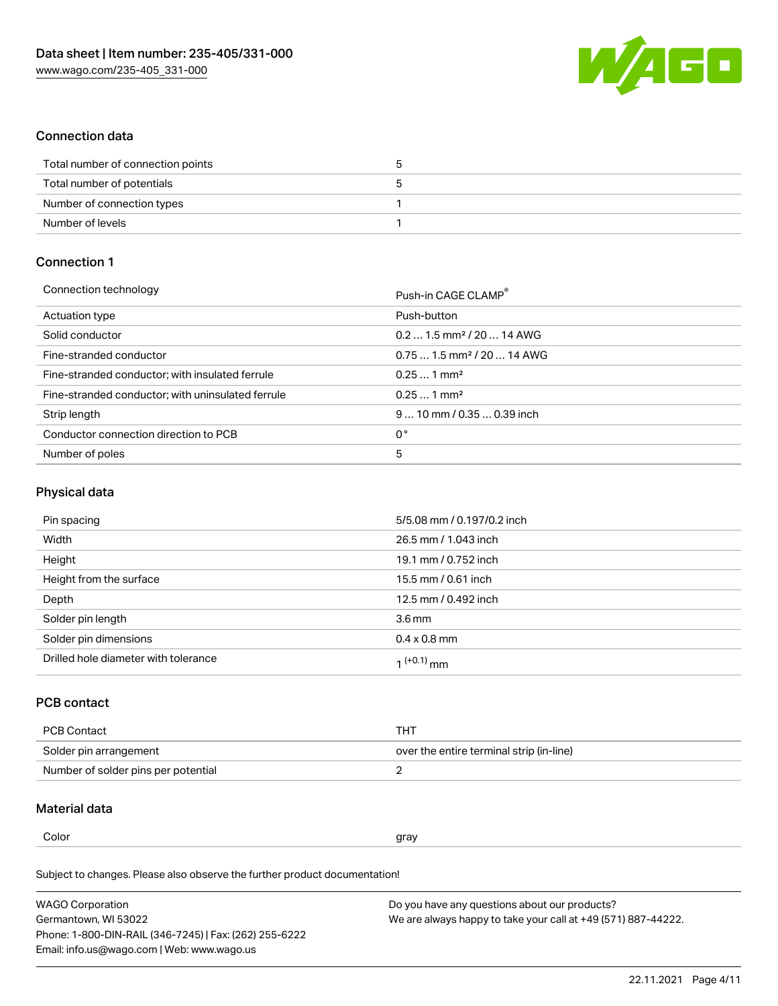

### Connection data

| Total number of connection points |  |
|-----------------------------------|--|
| Total number of potentials        |  |
| Number of connection types        |  |
| Number of levels                  |  |

# Connection 1

| Connection technology                             | Push-in CAGE CLAMP®                    |
|---------------------------------------------------|----------------------------------------|
| Actuation type                                    | Push-button                            |
| Solid conductor                                   | $0.21.5$ mm <sup>2</sup> / 20  14 AWG  |
| Fine-stranded conductor                           | $0.751.5$ mm <sup>2</sup> / 20  14 AWG |
| Fine-stranded conductor; with insulated ferrule   | $0.251$ mm <sup>2</sup>                |
| Fine-stranded conductor; with uninsulated ferrule | $0.251$ mm <sup>2</sup>                |
| Strip length                                      | $910$ mm / 0.35  0.39 inch             |
| Conductor connection direction to PCB             | 0°                                     |
| Number of poles                                   | 5                                      |
|                                                   |                                        |

# Physical data

| Pin spacing                          | 5/5.08 mm / 0.197/0.2 inch |
|--------------------------------------|----------------------------|
| Width                                | 26.5 mm / 1.043 inch       |
| Height                               | 19.1 mm / 0.752 inch       |
| Height from the surface              | 15.5 mm / 0.61 inch        |
| Depth                                | 12.5 mm / 0.492 inch       |
| Solder pin length                    | 3.6 <sub>mm</sub>          |
| Solder pin dimensions                | $0.4 \times 0.8$ mm        |
| Drilled hole diameter with tolerance | 1 <sup>(+0.1)</sup> mm     |

# PCB contact

| PCB Contact                         | тнт                                      |
|-------------------------------------|------------------------------------------|
| Solder pin arrangement              | over the entire terminal strip (in-line) |
| Number of solder pins per potential |                                          |

#### Material data

Color and the color of the color of the color of the color of the color of the color of the color of the color

Subject to changes. Please also observe the further product documentation! Material group I

| <b>WAGO Corporation</b>                                | Do you have any questions about our products?                 |
|--------------------------------------------------------|---------------------------------------------------------------|
| Germantown, WI 53022                                   | We are always happy to take your call at +49 (571) 887-44222. |
| Phone: 1-800-DIN-RAIL (346-7245)   Fax: (262) 255-6222 |                                                               |
| Email: info.us@wago.com   Web: www.wago.us             |                                                               |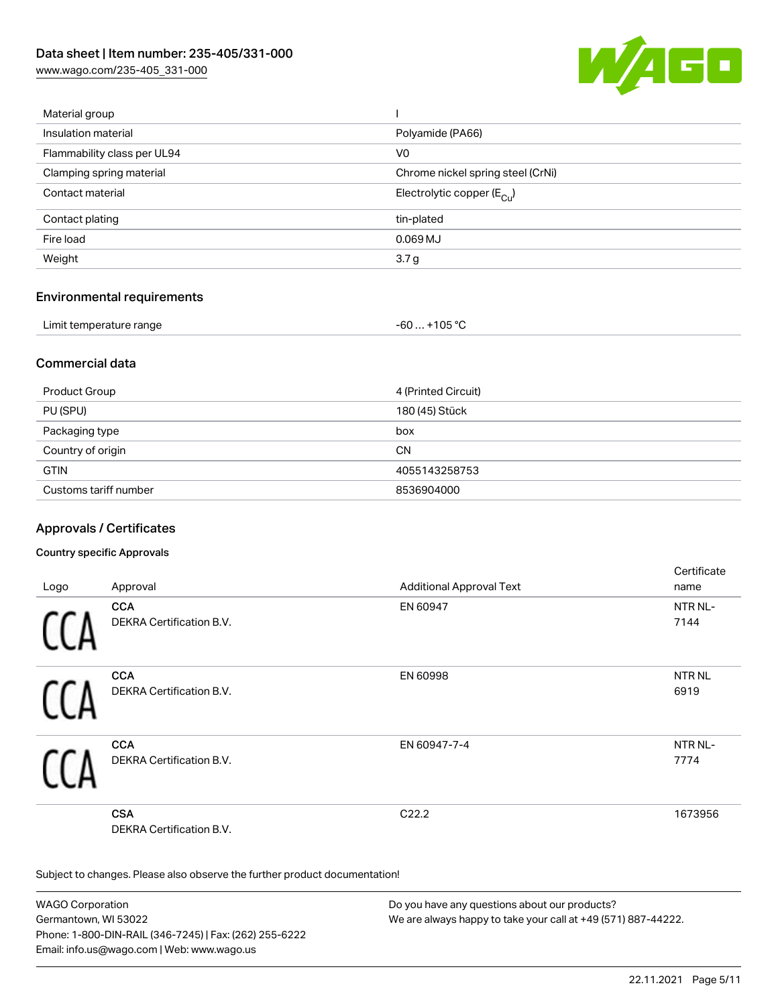[www.wago.com/235-405\\_331-000](http://www.wago.com/235-405_331-000)



| Material group              |                                       |
|-----------------------------|---------------------------------------|
| Insulation material         | Polyamide (PA66)                      |
| Flammability class per UL94 | V0                                    |
| Clamping spring material    | Chrome nickel spring steel (CrNi)     |
| Contact material            | Electrolytic copper $(E_{\text{Cl}})$ |
| Contact plating             | tin-plated                            |
| Fire load                   | $0.069$ MJ                            |
| Weight                      | 3.7 <sub>g</sub>                      |
|                             |                                       |

### Environmental requirements

| Limit temperature range | $-60+105 °C$ |
|-------------------------|--------------|
|-------------------------|--------------|

### Commercial data

| Product Group         | 4 (Printed Circuit) |
|-----------------------|---------------------|
| PU (SPU)              | 180 (45) Stück      |
| Packaging type        | box                 |
| Country of origin     | <b>CN</b>           |
| <b>GTIN</b>           | 4055143258753       |
| Customs tariff number | 8536904000          |

# Approvals / Certificates

### Country specific Approvals

|      |                                 |                                 | Certificate       |
|------|---------------------------------|---------------------------------|-------------------|
| Logo | Approval                        | <b>Additional Approval Text</b> | name              |
|      | <b>CCA</b>                      | EN 60947                        | NTR NL-           |
|      | <b>DEKRA Certification B.V.</b> |                                 | 7144              |
|      | <b>CCA</b>                      | EN 60998                        | NTR <sub>NL</sub> |
| L    | DEKRA Certification B.V.        |                                 | 6919              |
|      | <b>CCA</b>                      | EN 60947-7-4                    | NTR NL-           |
|      | DEKRA Certification B.V.        |                                 | 7774              |
|      | <b>CSA</b>                      | C <sub>22.2</sub>               | 1673956           |
|      | <b>DEKRA Certification B.V.</b> |                                 |                   |

Subject to changes. Please also observe the further product documentation!

WAGO Corporation Germantown, WI 53022 Phone: 1-800-DIN-RAIL (346-7245) | Fax: (262) 255-6222 Email: info.us@wago.com | Web: www.wago.us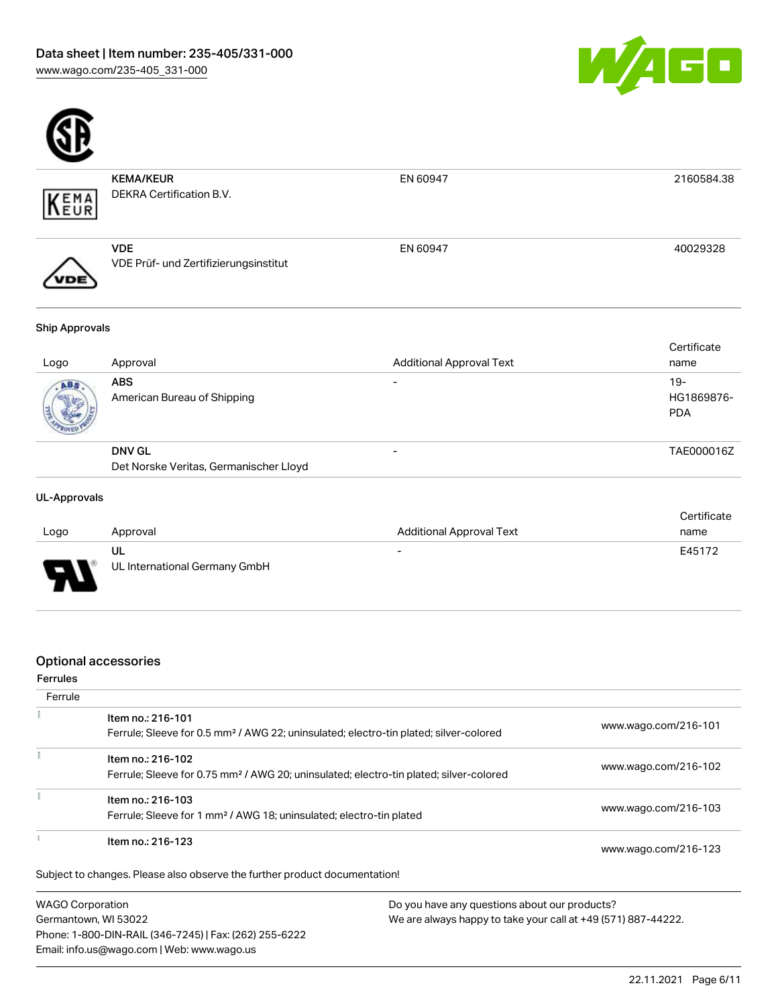



|                | <b>KEMA/KEUR</b>                                    | EN 60947                        | 2160584.38  |
|----------------|-----------------------------------------------------|---------------------------------|-------------|
| KEMA           | DEKRA Certification B.V.                            |                                 |             |
|                | <b>VDE</b><br>VDE Prüf- und Zertifizierungsinstitut | EN 60947                        | 40029328    |
| Ship Approvals |                                                     |                                 |             |
|                |                                                     |                                 | Certificate |
| Logo           | Approval                                            | <b>Additional Approval Text</b> | name        |
| $\sqrt{AB}$    | <b>ARS</b>                                          |                                 | $19-$       |

| Det Norske Veritas, Germanischer Lloyd |                          |                          |
|----------------------------------------|--------------------------|--------------------------|
| <b>DNV GL</b>                          |                          | TAE000016Z               |
| American Bureau of Shipping            |                          | HG1869876-<br><b>PDA</b> |
| ABS                                    | $\overline{\phantom{0}}$ | 19-                      |

#### UL-Approvals

|                               |                               |                                 | Certificate |
|-------------------------------|-------------------------------|---------------------------------|-------------|
| Logo                          | Approval                      | <b>Additional Approval Text</b> | name        |
|                               | UL                            | $\overline{\phantom{0}}$        | E45172      |
| o<br>$\overline{\phantom{a}}$ | UL International Germany GmbH |                                 |             |

### Optional accessories

### Ferrules

| Ferrule          |                                                                                                                        |                      |
|------------------|------------------------------------------------------------------------------------------------------------------------|----------------------|
|                  | Item no.: 216-101<br>Ferrule; Sleeve for 0.5 mm <sup>2</sup> / AWG 22; uninsulated; electro-tin plated; silver-colored | www.wago.com/216-101 |
|                  | Item no.: 216-102                                                                                                      |                      |
|                  | Ferrule; Sleeve for 0.75 mm <sup>2</sup> / AWG 20; uninsulated; electro-tin plated; silver-colored                     | www.wago.com/216-102 |
|                  | Item no.: 216-103                                                                                                      |                      |
|                  | Ferrule; Sleeve for 1 mm <sup>2</sup> / AWG 18; uninsulated; electro-tin plated                                        | www.wago.com/216-103 |
|                  | Item no.: 216-123                                                                                                      | www.wago.com/216-123 |
|                  | Subject to changes. Please also observe the further product documentation!                                             |                      |
| WAGO Corporation | Do you have any questions about our products?                                                                          |                      |

WAGO Corporation Germantown, WI 53022 Phone: 1-800-DIN-RAIL (346-7245) | Fax: (262) 255-6222 Email: info.us@wago.com | Web: www.wago.us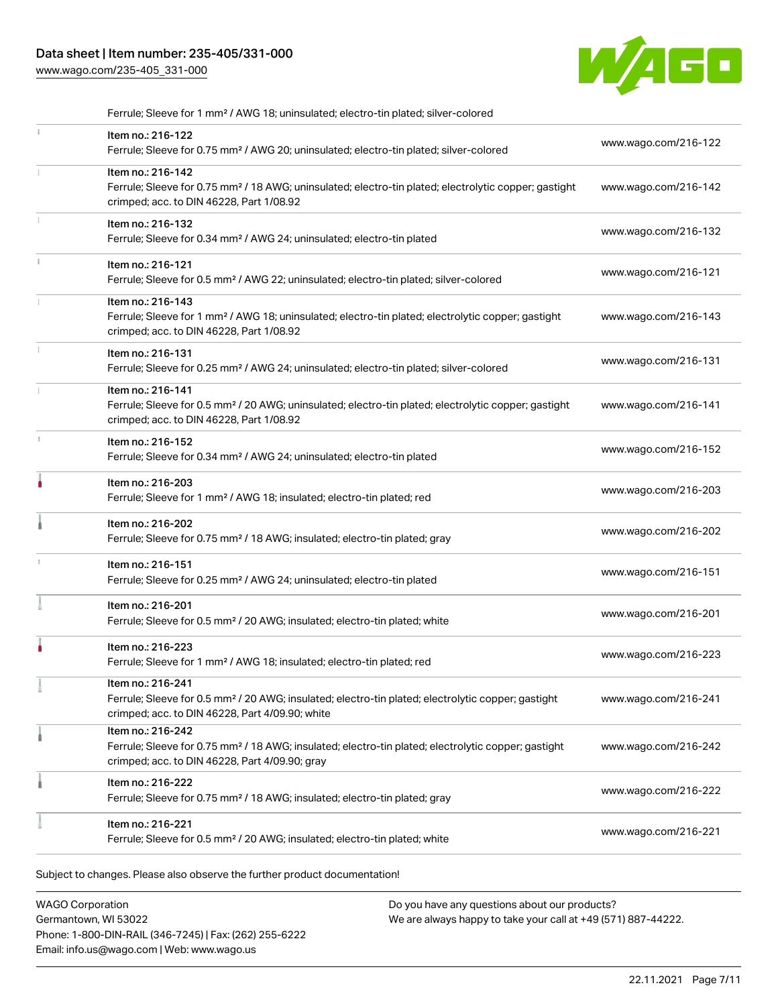# Data sheet | Item number: 235-405/331-000

[www.wago.com/235-405\\_331-000](http://www.wago.com/235-405_331-000)



| Ferrule; Sleeve for 1 mm <sup>2</sup> / AWG 18; uninsulated; electro-tin plated; silver-colored                                                                                        |                      |
|----------------------------------------------------------------------------------------------------------------------------------------------------------------------------------------|----------------------|
| Item no.: 216-122<br>Ferrule; Sleeve for 0.75 mm <sup>2</sup> / AWG 20; uninsulated; electro-tin plated; silver-colored                                                                | www.wago.com/216-122 |
| Item no.: 216-142<br>Ferrule; Sleeve for 0.75 mm <sup>2</sup> / 18 AWG; uninsulated; electro-tin plated; electrolytic copper; gastight<br>crimped; acc. to DIN 46228, Part 1/08.92     | www.wago.com/216-142 |
| Item no.: 216-132<br>Ferrule; Sleeve for 0.34 mm <sup>2</sup> / AWG 24; uninsulated; electro-tin plated                                                                                | www.wago.com/216-132 |
| Item no.: 216-121<br>Ferrule; Sleeve for 0.5 mm <sup>2</sup> / AWG 22; uninsulated; electro-tin plated; silver-colored                                                                 | www.wago.com/216-121 |
| Item no.: 216-143<br>Ferrule; Sleeve for 1 mm <sup>2</sup> / AWG 18; uninsulated; electro-tin plated; electrolytic copper; gastight<br>crimped; acc. to DIN 46228, Part 1/08.92        | www.wago.com/216-143 |
| Item no.: 216-131<br>Ferrule; Sleeve for 0.25 mm <sup>2</sup> / AWG 24; uninsulated; electro-tin plated; silver-colored                                                                | www.wago.com/216-131 |
| Item no.: 216-141<br>Ferrule; Sleeve for 0.5 mm <sup>2</sup> / 20 AWG; uninsulated; electro-tin plated; electrolytic copper; gastight<br>crimped; acc. to DIN 46228, Part 1/08.92      | www.wago.com/216-141 |
| Item no.: 216-152<br>Ferrule; Sleeve for 0.34 mm <sup>2</sup> / AWG 24; uninsulated; electro-tin plated                                                                                | www.wago.com/216-152 |
| Item no.: 216-203<br>Ferrule; Sleeve for 1 mm <sup>2</sup> / AWG 18; insulated; electro-tin plated; red                                                                                | www.wago.com/216-203 |
| Item no.: 216-202<br>Ferrule; Sleeve for 0.75 mm <sup>2</sup> / 18 AWG; insulated; electro-tin plated; gray                                                                            | www.wago.com/216-202 |
| Item no.: 216-151<br>Ferrule; Sleeve for 0.25 mm <sup>2</sup> / AWG 24; uninsulated; electro-tin plated                                                                                | www.wago.com/216-151 |
| Item no.: 216-201<br>Ferrule; Sleeve for 0.5 mm <sup>2</sup> / 20 AWG; insulated; electro-tin plated; white                                                                            | www.wago.com/216-201 |
| Item no.: 216-223<br>Ferrule; Sleeve for 1 mm <sup>2</sup> / AWG 18; insulated; electro-tin plated; red                                                                                | www.wago.com/216-223 |
| ltem no.: 216-241<br>Ferrule; Sleeve for 0.5 mm <sup>2</sup> / 20 AWG; insulated; electro-tin plated; electrolytic copper; gastight<br>crimped; acc. to DIN 46228, Part 4/09.90; white | www.wago.com/216-241 |
| Item no.: 216-242<br>Ferrule; Sleeve for 0.75 mm <sup>2</sup> / 18 AWG; insulated; electro-tin plated; electrolytic copper; gastight<br>crimped; acc. to DIN 46228, Part 4/09.90; gray | www.wago.com/216-242 |
| Item no.: 216-222<br>Ferrule; Sleeve for 0.75 mm <sup>2</sup> / 18 AWG; insulated; electro-tin plated; gray                                                                            | www.wago.com/216-222 |
| Item no.: 216-221<br>Ferrule; Sleeve for 0.5 mm <sup>2</sup> / 20 AWG; insulated; electro-tin plated; white                                                                            | www.wago.com/216-221 |

Subject to changes. Please also observe the further product documentation!

WAGO Corporation Germantown, WI 53022 Phone: 1-800-DIN-RAIL (346-7245) | Fax: (262) 255-6222 Email: info.us@wago.com | Web: www.wago.us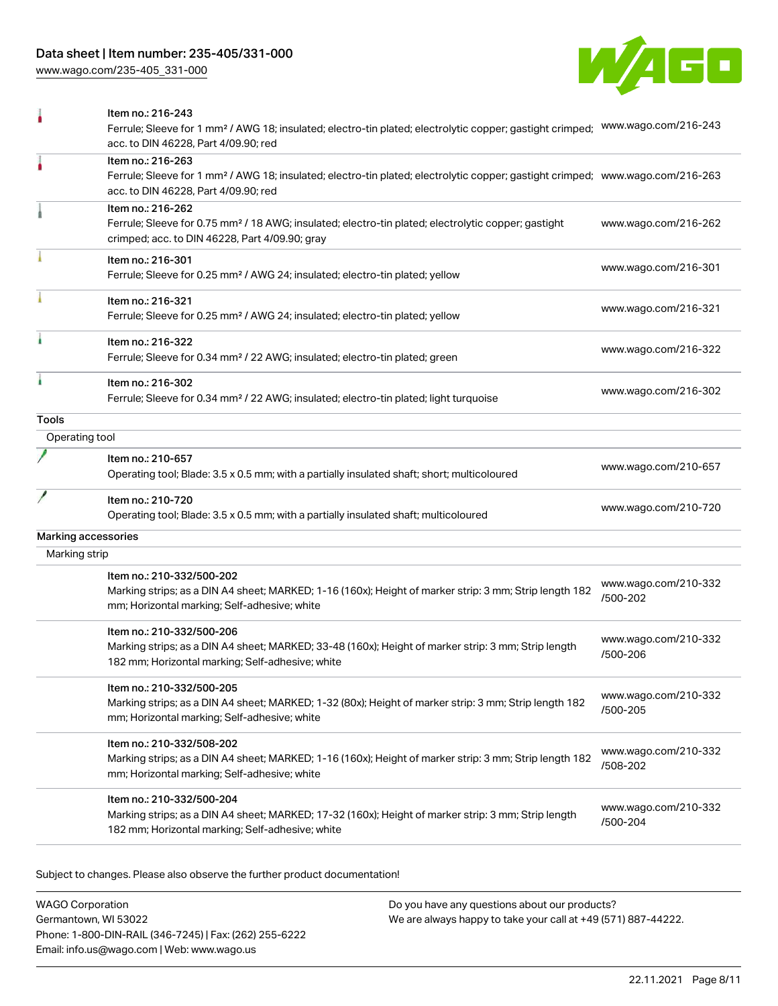[www.wago.com/235-405\\_331-000](http://www.wago.com/235-405_331-000)



|                | Item no.: 216-243<br>Ferrule; Sleeve for 1 mm <sup>2</sup> / AWG 18; insulated; electro-tin plated; electrolytic copper; gastight crimped;<br>acc. to DIN 46228, Part 4/09.90; red                      | www.wago.com/216-243             |
|----------------|---------------------------------------------------------------------------------------------------------------------------------------------------------------------------------------------------------|----------------------------------|
| ۸              | Item no.: 216-263<br>Ferrule; Sleeve for 1 mm <sup>2</sup> / AWG 18; insulated; electro-tin plated; electrolytic copper; gastight crimped; www.wago.com/216-263<br>acc. to DIN 46228, Part 4/09.90; red |                                  |
|                | Item no.: 216-262<br>Ferrule; Sleeve for 0.75 mm <sup>2</sup> / 18 AWG; insulated; electro-tin plated; electrolytic copper; gastight<br>crimped; acc. to DIN 46228, Part 4/09.90; gray                  | www.wago.com/216-262             |
|                | Item no.: 216-301<br>Ferrule; Sleeve for 0.25 mm <sup>2</sup> / AWG 24; insulated; electro-tin plated; yellow                                                                                           | www.wago.com/216-301             |
|                | Item no.: 216-321<br>Ferrule; Sleeve for 0.25 mm <sup>2</sup> / AWG 24; insulated; electro-tin plated; yellow                                                                                           | www.wago.com/216-321             |
|                | Item no.: 216-322<br>Ferrule; Sleeve for 0.34 mm <sup>2</sup> / 22 AWG; insulated; electro-tin plated; green                                                                                            | www.wago.com/216-322             |
| ۸              | Item no.: 216-302<br>Ferrule; Sleeve for 0.34 mm <sup>2</sup> / 22 AWG; insulated; electro-tin plated; light turquoise                                                                                  | www.wago.com/216-302             |
| Tools          |                                                                                                                                                                                                         |                                  |
| Operating tool |                                                                                                                                                                                                         |                                  |
|                | Item no.: 210-657<br>Operating tool; Blade: 3.5 x 0.5 mm; with a partially insulated shaft; short; multicoloured                                                                                        | www.wago.com/210-657             |
|                | Item no.: 210-720<br>Operating tool; Blade: 3.5 x 0.5 mm; with a partially insulated shaft; multicoloured                                                                                               | www.wago.com/210-720             |
|                | Marking accessories                                                                                                                                                                                     |                                  |
| Marking strip  |                                                                                                                                                                                                         |                                  |
|                | Item no.: 210-332/500-202                                                                                                                                                                               |                                  |
|                | Marking strips; as a DIN A4 sheet; MARKED; 1-16 (160x); Height of marker strip: 3 mm; Strip length 182<br>mm; Horizontal marking; Self-adhesive; white                                                  | www.wago.com/210-332<br>/500-202 |
|                | Item no.: 210-332/500-206<br>Marking strips; as a DIN A4 sheet; MARKED; 33-48 (160x); Height of marker strip: 3 mm; Strip length<br>182 mm; Horizontal marking; Self-adhesive; white                    | www.wago.com/210-332<br>/500-206 |
|                | Item no.: 210-332/500-205<br>Marking strips; as a DIN A4 sheet; MARKED; 1-32 (80x); Height of marker strip: 3 mm; Strip length 182<br>mm; Horizontal marking; Self-adhesive; white                      | www.wago.com/210-332<br>/500-205 |
|                | Item no.: 210-332/508-202<br>Marking strips; as a DIN A4 sheet; MARKED; 1-16 (160x); Height of marker strip: 3 mm; Strip length 182<br>mm; Horizontal marking; Self-adhesive; white                     | www.wago.com/210-332<br>/508-202 |
|                | Item no.: 210-332/500-204<br>Marking strips; as a DIN A4 sheet; MARKED; 17-32 (160x); Height of marker strip: 3 mm; Strip length<br>182 mm; Horizontal marking; Self-adhesive; white                    | www.wago.com/210-332<br>/500-204 |
|                |                                                                                                                                                                                                         |                                  |

Subject to changes. Please also observe the further product documentation!

WAGO Corporation Germantown, WI 53022 Phone: 1-800-DIN-RAIL (346-7245) | Fax: (262) 255-6222 Email: info.us@wago.com | Web: www.wago.us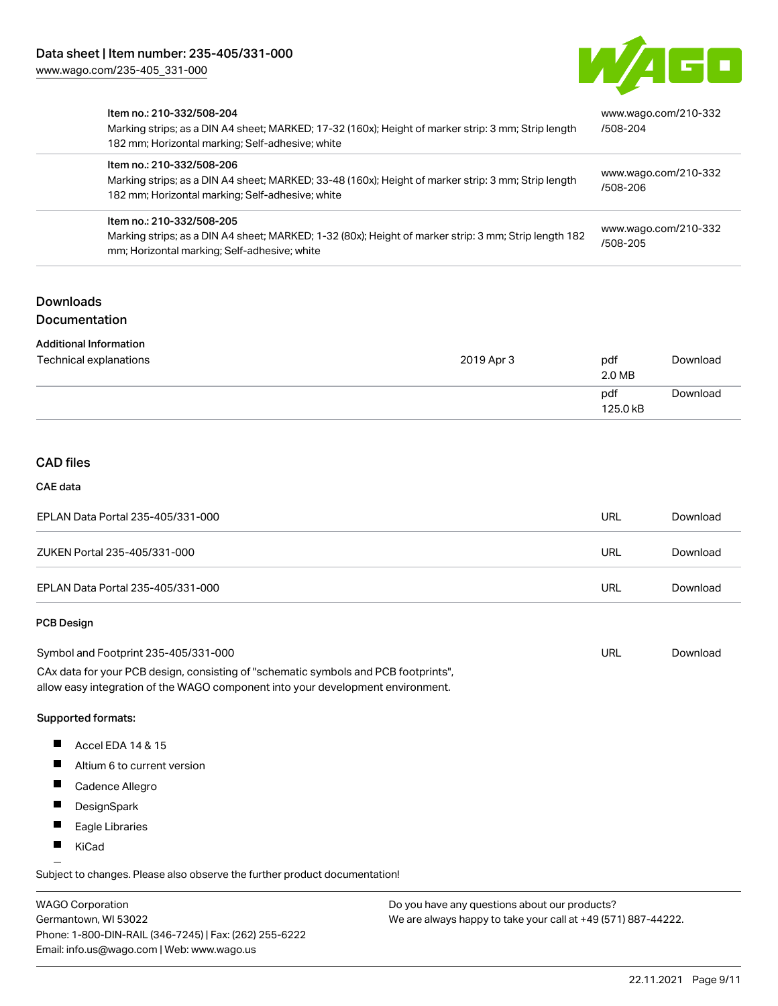

| Item no.: 210-332/508-204<br>Marking strips; as a DIN A4 sheet; MARKED; 17-32 (160x); Height of marker strip: 3 mm; Strip length<br>182 mm; Horizontal marking; Self-adhesive; white | www.wago.com/210-332<br>/508-204 |
|--------------------------------------------------------------------------------------------------------------------------------------------------------------------------------------|----------------------------------|
| Item no.: 210-332/508-206<br>Marking strips; as a DIN A4 sheet; MARKED; 33-48 (160x); Height of marker strip: 3 mm; Strip length<br>182 mm; Horizontal marking; Self-adhesive; white | www.wago.com/210-332<br>/508-206 |
| Item no.: 210-332/508-205<br>Marking strips; as a DIN A4 sheet; MARKED; 1-32 (80x); Height of marker strip: 3 mm; Strip length 182<br>mm; Horizontal marking; Self-adhesive; white   | www.wago.com/210-332<br>/508-205 |

## Downloads Documentation

#### Additional Information

| Technical explanations | 2019 Apr 3 | pdf<br>2.0 MB   | Download |
|------------------------|------------|-----------------|----------|
|                        |            | pdf<br>125.0 kB | Download |

# CAD files

#### CAE data

| EPLAN Data Portal 235-405/331-000 | URL | Download |
|-----------------------------------|-----|----------|
| ZUKEN Portal 235-405/331-000      | URL | Download |
| EPLAN Data Portal 235-405/331-000 | URL | Download |

#### PCB Design

| Symbol and Footprint 235-405/331-000                                                | URL | Download |
|-------------------------------------------------------------------------------------|-----|----------|
| CAx data for your PCB design, consisting of "schematic symbols and PCB footprints", |     |          |
| allow easy integration of the WAGO component into your development environment.     |     |          |

#### Supported formats:

- $\blacksquare$ Accel EDA 14 & 15
- $\blacksquare$ Altium 6 to current version
- $\blacksquare$ Cadence Allegro
- $\blacksquare$ DesignSpark
- $\blacksquare$ Eagle Libraries
- $\blacksquare$ KiCad

Subject to changes. Please also observe the further product documentation!

WAGO Corporation Germantown, WI 53022 Phone: 1-800-DIN-RAIL (346-7245) | Fax: (262) 255-6222 Email: info.us@wago.com | Web: www.wago.us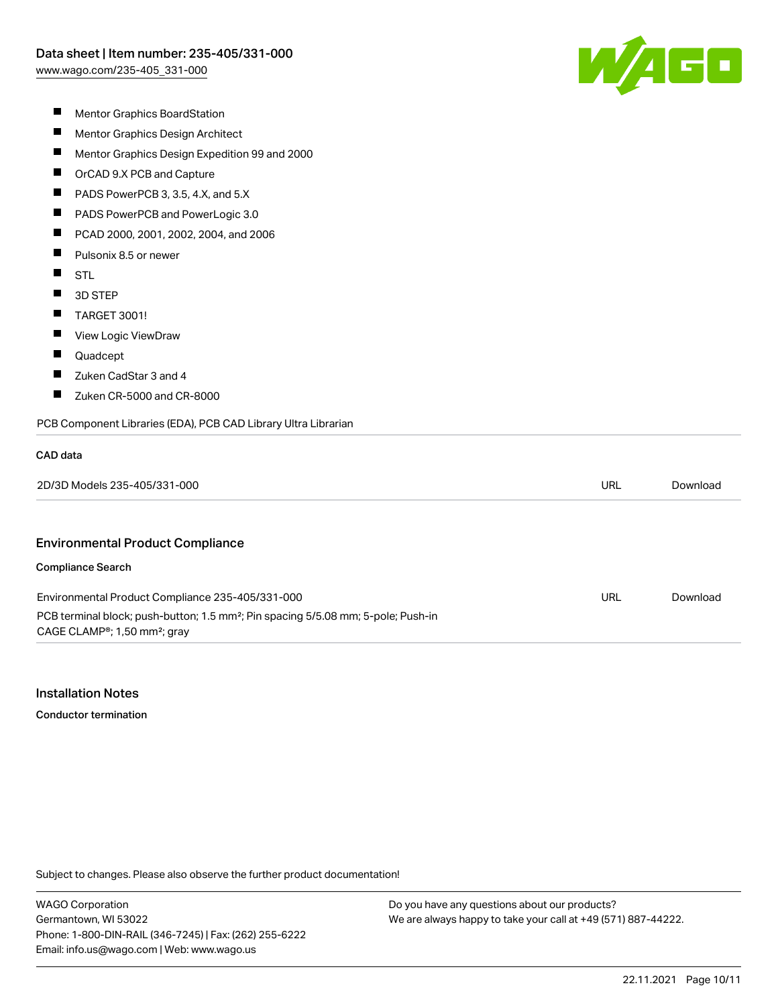

- $\blacksquare$ Mentor Graphics BoardStation
- $\blacksquare$ Mentor Graphics Design Architect
- $\blacksquare$ Mentor Graphics Design Expedition 99 and 2000
- $\blacksquare$ OrCAD 9.X PCB and Capture
- П PADS PowerPCB 3, 3.5, 4.X, and 5.X
- П PADS PowerPCB and PowerLogic 3.0
- П PCAD 2000, 2001, 2002, 2004, and 2006
- $\blacksquare$ Pulsonix 8.5 or newer
- $\blacksquare$ **STL**
- $\blacksquare$ 3D STEP
- $\blacksquare$ TARGET 3001!
- $\blacksquare$ View Logic ViewDraw
- $\blacksquare$ Quadcept
- $\blacksquare$ Zuken CadStar 3 and 4
- $\blacksquare$ Zuken CR-5000 and CR-8000

#### PCB Component Libraries (EDA), PCB CAD Library Ultra Librarian

#### CAD data

| 2D/3D<br>: 235-405/331-<br>$-000$<br>''' Models '' | url<br>$\sim$ $\sim$ | Download |
|----------------------------------------------------|----------------------|----------|
|----------------------------------------------------|----------------------|----------|

#### Environmental Product Compliance

#### Compliance Search

| Environmental Product Compliance 235-405/331-000                                                                                                       | URL | Download |
|--------------------------------------------------------------------------------------------------------------------------------------------------------|-----|----------|
| PCB terminal block; push-button; 1.5 mm <sup>2</sup> ; Pin spacing 5/5.08 mm; 5-pole; Push-in<br>CAGE CLAMP <sup>®</sup> ; 1,50 mm <sup>2</sup> ; gray |     |          |

### Installation Notes

Conductor termination

Subject to changes. Please also observe the further product documentation!

WAGO Corporation Germantown, WI 53022 Phone: 1-800-DIN-RAIL (346-7245) | Fax: (262) 255-6222 Email: info.us@wago.com | Web: www.wago.us